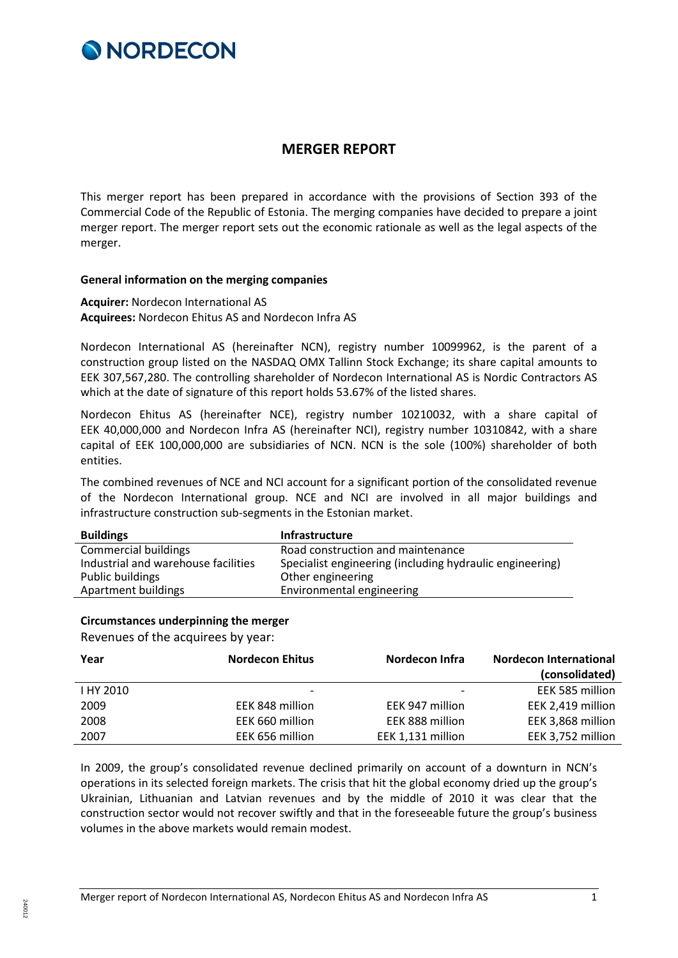

## **MERGER REPORT**

This merger report has been prepared in accordance with the provisions of Section 393 of the Commercial Code of the Republic of Estonia. The merging companies have decided to prepare a joint merger report. The merger report sets out the economic rationale as well as the legal aspects of the merger.

## **General information on the merging companies**

**Acquirer:** Nordecon International AS **Acquirees:** Nordecon Ehitus AS and Nordecon Infra AS

Nordecon International AS (hereinafter NCN), registry number 10099962, is the parent of a construction group listed on the NASDAQ OMX Tallinn Stock Exchange; its share capital amounts to EEK 307,567,280. The controlling shareholder of Nordecon International AS is Nordic Contractors AS which at the date of signature of this report holds 53.67% of the listed shares.

Nordecon Ehitus AS (hereinafter NCE), registry number 10210032, with a share capital of EEK 40,000,000 and Nordecon Infra AS (hereinafter NCI), registry number 10310842, with a share capital of EEK 100,000,000 are subsidiaries of NCN. NCN is the sole (100%) shareholder of both entities.

The combined revenues of NCE and NCI account for a significant portion of the consolidated revenue of the Nordecon International group. NCE and NCI are involved in all major buildings and infrastructure construction sub-segments in the Estonian market.

| <b>Buildings</b>                    | <b>Infrastructure</b>                                    |
|-------------------------------------|----------------------------------------------------------|
| Commercial buildings                | Road construction and maintenance                        |
| Industrial and warehouse facilities | Specialist engineering (including hydraulic engineering) |
| Public buildings                    | Other engineering                                        |
| Apartment buildings                 | Environmental engineering                                |

## **Circumstances underpinning the merger**

Revenues of the acquirees by year:

| Year      | <b>Nordecon Ehitus</b>   | Nordecon Infra    | <b>Nordecon International</b> |
|-----------|--------------------------|-------------------|-------------------------------|
|           |                          |                   | (consolidated)                |
| I HY 2010 | $\overline{\phantom{0}}$ |                   | EEK 585 million               |
| 2009      | EEK 848 million          | EEK 947 million   | EEK 2,419 million             |
| 2008      | EEK 660 million          | EEK 888 million   | EEK 3,868 million             |
| 2007      | EEK 656 million          | EEK 1,131 million | EEK 3,752 million             |

In 2009, the group's consolidated revenue declined primarily on account of a downturn in NCN's operations in its selected foreign markets. The crisis that hit the global economy dried up the group's Ukrainian, Lithuanian and Latvian revenues and by the middle of 2010 it was clear that the construction sector would not recover swiftly and that in the foreseeable future the group's business volumes in the above markets would remain modest.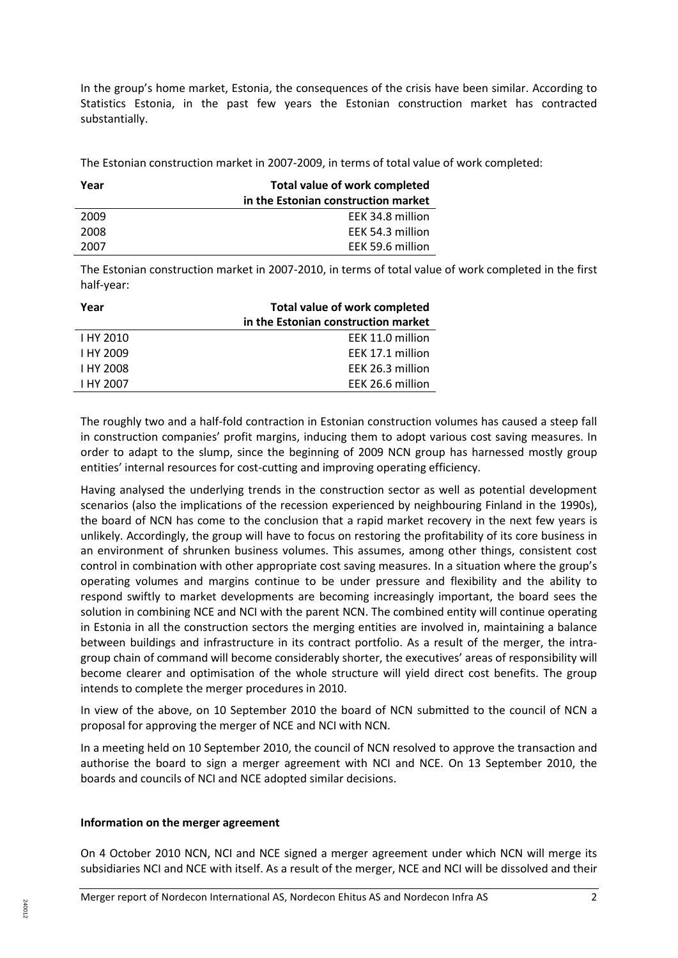In the group's home market, Estonia, the consequences of the crisis have been similar. According to Statistics Estonia, in the past few years the Estonian construction market has contracted substantially.

The Estonian construction market in 2007-2009, in terms of total value of work completed:

| Total value of work completed       |  |
|-------------------------------------|--|
| in the Estonian construction market |  |
| EEK 34.8 million                    |  |
| EEK 54.3 million                    |  |
| EEK 59.6 million                    |  |
|                                     |  |

The Estonian construction market in 2007-2010, in terms of total value of work completed in the first half-year:

| Year             | Total value of work completed       |  |
|------------------|-------------------------------------|--|
|                  | in the Estonian construction market |  |
| I HY 2010        | EEK 11.0 million                    |  |
| I HY 2009        | EEK 17.1 million                    |  |
| <b>I HY 2008</b> | EEK 26.3 million                    |  |
| I HY 2007        | EEK 26.6 million                    |  |

The roughly two and a half-fold contraction in Estonian construction volumes has caused a steep fall in construction companies' profit margins, inducing them to adopt various cost saving measures. In order to adapt to the slump, since the beginning of 2009 NCN group has harnessed mostly group entities' internal resources for cost-cutting and improving operating efficiency.

Having analysed the underlying trends in the construction sector as well as potential development scenarios (also the implications of the recession experienced by neighbouring Finland in the 1990s), the board of NCN has come to the conclusion that a rapid market recovery in the next few years is unlikely. Accordingly, the group will have to focus on restoring the profitability of its core business in an environment of shrunken business volumes. This assumes, among other things, consistent cost control in combination with other appropriate cost saving measures. In a situation where the group's operating volumes and margins continue to be under pressure and flexibility and the ability to respond swiftly to market developments are becoming increasingly important, the board sees the solution in combining NCE and NCI with the parent NCN. The combined entity will continue operating in Estonia in all the construction sectors the merging entities are involved in, maintaining a balance between buildings and infrastructure in its contract portfolio. As a result of the merger, the intragroup chain of command will become considerably shorter, the executives' areas of responsibility will become clearer and optimisation of the whole structure will yield direct cost benefits. The group intends to complete the merger procedures in 2010.

In view of the above, on 10 September 2010 the board of NCN submitted to the council of NCN a proposal for approving the merger of NCE and NCI with NCN.

In a meeting held on 10 September 2010, the council of NCN resolved to approve the transaction and authorise the board to sign a merger agreement with NCI and NCE. On 13 September 2010, the boards and councils of NCI and NCE adopted similar decisions.

## **Information on the merger agreement**

240012

On 4 October 2010 NCN, NCI and NCE signed a merger agreement under which NCN will merge its subsidiaries NCI and NCE with itself. As a result of the merger, NCE and NCI will be dissolved and their